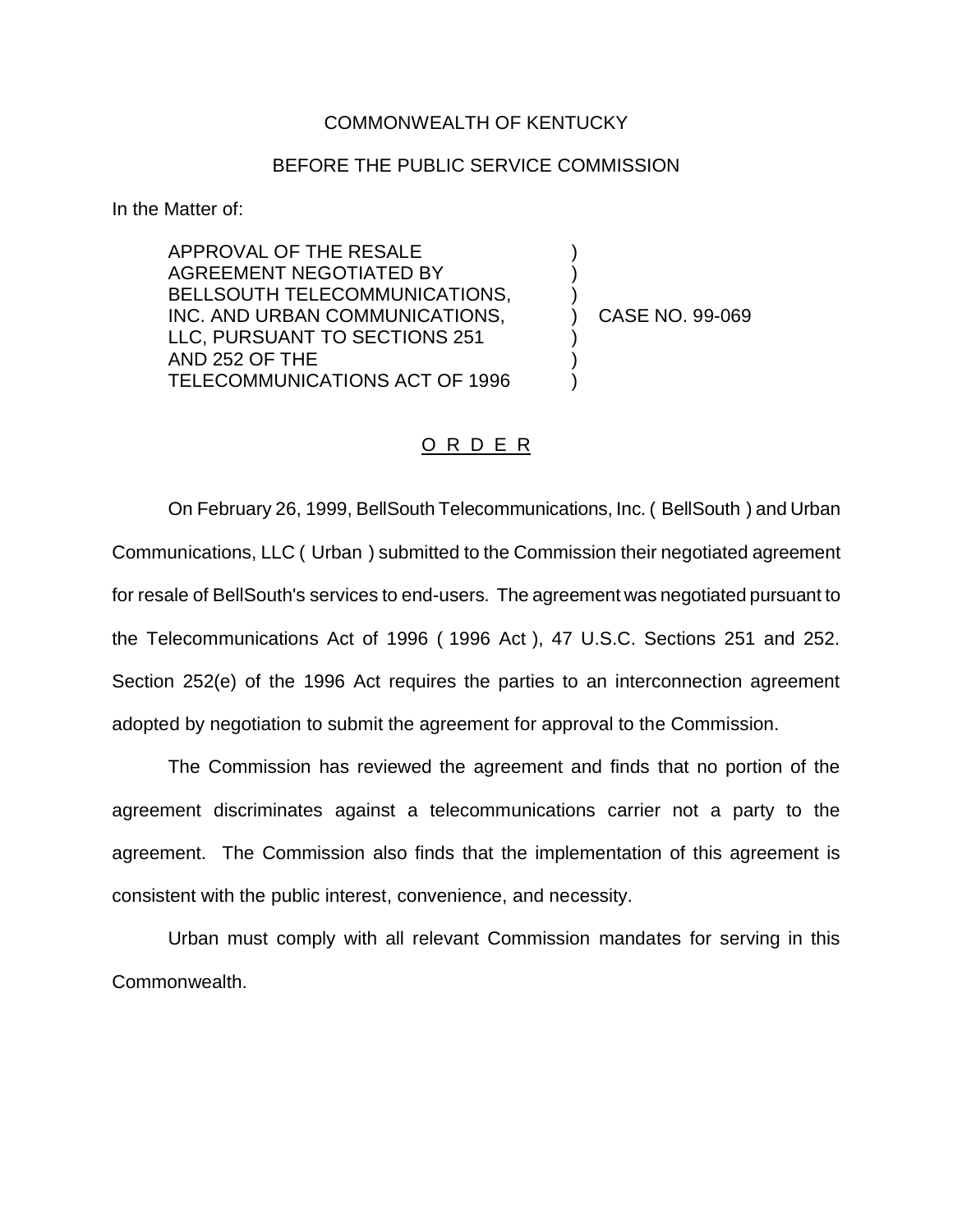## COMMONWEALTH OF KENTUCKY

## BEFORE THE PUBLIC SERVICE COMMISSION

In the Matter of:

APPROVAL OF THE RESALE AGREEMENT NEGOTIATED BY BELLSOUTH TELECOMMUNICATIONS, INC. AND URBAN COMMUNICATIONS, LLC, PURSUANT TO SECTIONS 251 AND 252 OF THE TELECOMMUNICATIONS ACT OF 1996

) CASE NO. 99-069

) ) )

) ) )

## O R D E R

On February 26, 1999, BellSouth Telecommunications, Inc. ( BellSouth ) and Urban Communications, LLC ( Urban ) submitted to the Commission their negotiated agreement for resale of BellSouth's services to end-users. The agreement was negotiated pursuant to the Telecommunications Act of 1996 ( 1996 Act ), 47 U.S.C. Sections 251 and 252. Section 252(e) of the 1996 Act requires the parties to an interconnection agreement adopted by negotiation to submit the agreement for approval to the Commission.

The Commission has reviewed the agreement and finds that no portion of the agreement discriminates against a telecommunications carrier not a party to the agreement. The Commission also finds that the implementation of this agreement is consistent with the public interest, convenience, and necessity.

Urban must comply with all relevant Commission mandates for serving in this Commonwealth.